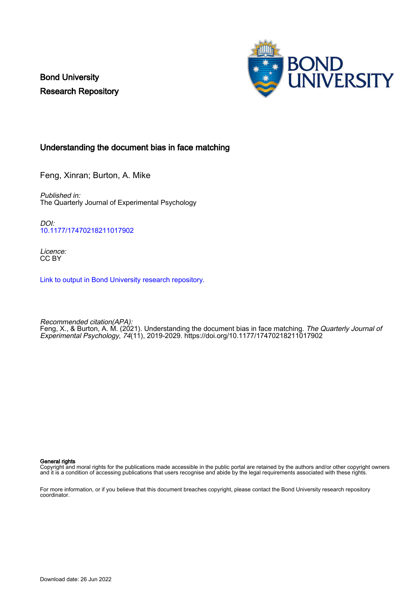Bond University Research Repository



# Understanding the document bias in face matching

Feng, Xinran; Burton, A. Mike

Published in: The Quarterly Journal of Experimental Psychology

DOI: [10.1177/17470218211017902](https://doi.org/10.1177/17470218211017902)

Licence: CC BY

[Link to output in Bond University research repository.](https://research.bond.edu.au/en/publications/22fe2ec7-9be1-43aa-915b-f0602b4e0c55)

Recommended citation(APA): Feng, X., & Burton, A. M. (2021). Understanding the document bias in face matching. *The Quarterly Journal of* Experimental Psychology, 74(11), 2019-2029. <https://doi.org/10.1177/17470218211017902>

#### General rights

Copyright and moral rights for the publications made accessible in the public portal are retained by the authors and/or other copyright owners and it is a condition of accessing publications that users recognise and abide by the legal requirements associated with these rights.

For more information, or if you believe that this document breaches copyright, please contact the Bond University research repository coordinator.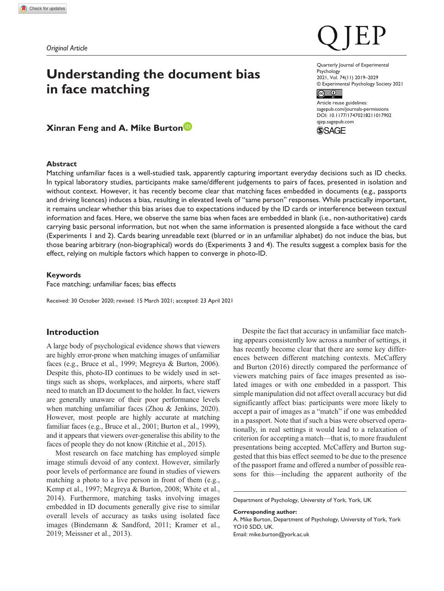# **Understanding the document bias in face matching**

**Xinran Feng and A. Mike Burton**

### **Abstract**

Matching unfamiliar faces is a well-studied task, apparently capturing important everyday decisions such as ID checks. In typical laboratory studies, participants make same/different judgements to pairs of faces, presented in isolation and without context. However, it has recently become clear that matching faces embedded in documents (e.g., passports and driving licences) induces a bias, resulting in elevated levels of "same person" responses. While practically important, it remains unclear whether this bias arises due to expectations induced by the ID cards or interference between textual information and faces. Here, we observe the same bias when faces are embedded in blank (i.e., non-authoritative) cards carrying basic personal information, but not when the same information is presented alongside a face without the card (Experiments 1 and 2). Cards bearing unreadable text (blurred or in an unfamiliar alphabet) do not induce the bias, but those bearing arbitrary (non-biographical) words do (Experiments 3 and 4). The results suggest a complex basis for the effect, relying on multiple factors which happen to converge in photo-ID.

#### **Keywords**

Face matching; unfamiliar faces; bias effects

Received: 30 October 2020; revised: 15 March 2021; accepted: 23 April 2021

# **Introduction**

A large body of psychological evidence shows that viewers are highly error-prone when matching images of unfamiliar faces (e.g., Bruce et al., 1999; Megreya & Burton, 2006). Despite this, photo-ID continues to be widely used in settings such as shops, workplaces, and airports, where staff need to match an ID document to the holder. In fact, viewers are generally unaware of their poor performance levels when matching unfamiliar faces (Zhou & Jenkins, 2020). However, most people are highly accurate at matching familiar faces (e.g., Bruce et al., 2001; Burton et al., 1999), and it appears that viewers over-generalise this ability to the faces of people they do not know (Ritchie et al., 2015).

Most research on face matching has employed simple image stimuli devoid of any context. However, similarly poor levels of performance are found in studies of viewers matching a photo to a live person in front of them (e.g., Kemp et al., 1997; Megreya & Burton, 2008; White et al., 2014). Furthermore, matching tasks involving images embedded in ID documents generally give rise to similar overall levels of accuracy as tasks using isolated face images (Bindemann & Sandford, 2011; Kramer et al., 2019; Meissner et al., 2013).

Despite the fact that accuracy in unfamiliar face matching appears consistently low across a number of settings, it has recently become clear that there are some key differences between different matching contexts. McCaffery and Burton (2016) directly compared the performance of viewers matching pairs of face images presented as isolated images or with one embedded in a passport. This simple manipulation did not affect overall accuracy but did significantly affect bias: participants were more likely to accept a pair of images as a "match" if one was embedded in a passport. Note that if such a bias were observed operationally, in real settings it would lead to a relaxation of criterion for accepting a match—that is, to more fraudulent presentations being accepted. McCaffery and Burton suggested that this bias effect seemed to be due to the presence of the passport frame and offered a number of possible reasons for this—including the apparent authority of the

Department of Psychology, University of York, York, UK

#### **Corresponding author:**

A. Mike Burton, Department of Psychology, University of York, York YO10 5DD, UK. Email: [mike.burton@york.ac.uk](mailto:mike.burton@york.ac.uk)

#### Quarterly Journal of Experimental Psychology 2021, Vol. 74(11) 2019–2029 © Experimental Psychology Society 2021

 $\odot$  $\overline{c}$ 

DOI: 10.1177/17470218211017902 Article reuse guidelines: [sagepub.com/journals-permissions](https://uk.sagepub.com/en-gb/journals-permissions) [qjep.sagepub.com](http://qjep.sagepub.com)

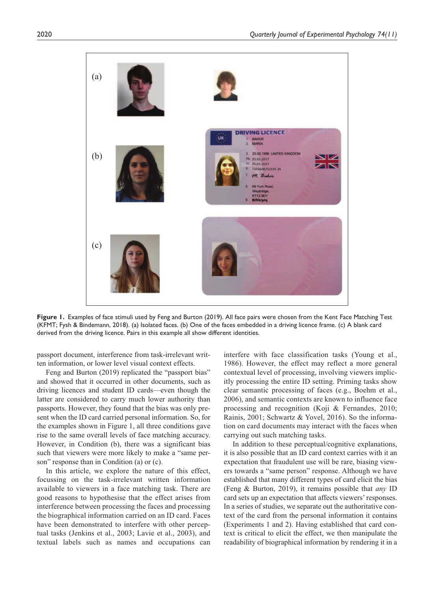

**Figure 1.** Examples of face stimuli used by Feng and Burton (2019). All face pairs were chosen from the Kent Face Matching Test (KFMT; Fysh & Bindemann, 2018). (a) Isolated faces. (b) One of the faces embedded in a driving licence frame. (c) A blank card derived from the driving licence. Pairs in this example all show different identities.

passport document, interference from task-irrelevant written information, or lower level visual context effects.

Feng and Burton (2019) replicated the "passport bias" and showed that it occurred in other documents, such as driving licences and student ID cards—even though the latter are considered to carry much lower authority than passports. However, they found that the bias was only present when the ID card carried personal information. So, for the examples shown in Figure 1, all three conditions gave rise to the same overall levels of face matching accuracy. However, in Condition (b), there was a significant bias such that viewers were more likely to make a "same person" response than in Condition (a) or (c).

In this article, we explore the nature of this effect, focussing on the task-irrelevant written information available to viewers in a face matching task. There are good reasons to hypothesise that the effect arises from interference between processing the faces and processing the biographical information carried on an ID card. Faces have been demonstrated to interfere with other perceptual tasks (Jenkins et al., 2003; Lavie et al., 2003), and textual labels such as names and occupations can

interfere with face classification tasks (Young et al., 1986). However, the effect may reflect a more general contextual level of processing, involving viewers implicitly processing the entire ID setting. Priming tasks show clear semantic processing of faces (e.g., Boehm et al., 2006), and semantic contexts are known to influence face processing and recognition (Koji & Fernandes, 2010; Rainis, 2001; Schwartz & Yovel, 2016). So the information on card documents may interact with the faces when carrying out such matching tasks.

In addition to these perceptual/cognitive explanations, it is also possible that an ID card context carries with it an expectation that fraudulent use will be rare, biasing viewers towards a "same person" response. Although we have established that many different types of card elicit the bias (Feng & Burton, 2019), it remains possible that *any* ID card sets up an expectation that affects viewers' responses. In a series of studies, we separate out the authoritative context of the card from the personal information it contains (Experiments 1 and 2). Having established that card context is critical to elicit the effect, we then manipulate the readability of biographical information by rendering it in a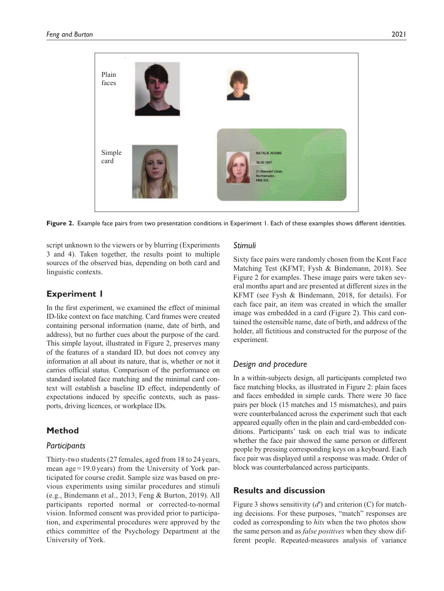

Figure 2. Example face pairs from two presentation conditions in Experiment 1. Each of these examples shows different identities.

script unknown to the viewers or by blurring (Experiments 3 and 4). Taken together, the results point to multiple sources of the observed bias, depending on both card and linguistic contexts.

# **Experiment 1**

In the first experiment, we examined the effect of minimal ID-like context on face matching. Card frames were created containing personal information (name, date of birth, and address), but no further cues about the purpose of the card. This simple layout, illustrated in Figure 2, preserves many of the features of a standard ID, but does not convey any information at all about its nature, that is, whether or not it carries official status. Comparison of the performance on standard isolated face matching and the minimal card context will establish a baseline ID effect, independently of expectations induced by specific contexts, such as passports, driving licences, or workplace IDs.

# **Method**

### *Participants*

Thirty-two students (27 females, aged from 18 to 24 years, mean  $age = 19.0 \text{ years}$  from the University of York participated for course credit. Sample size was based on previous experiments using similar procedures and stimuli (e.g., Bindemann et al., 2013; Feng & Burton, 2019). All participants reported normal or corrected-to-normal vision. Informed consent was provided prior to participation, and experimental procedures were approved by the ethics committee of the Psychology Department at the University of York.

### *Stimuli*

Sixty face pairs were randomly chosen from the Kent Face Matching Test (KFMT; Fysh & Bindemann, 2018). See Figure 2 for examples. These image pairs were taken several months apart and are presented at different sizes in the KFMT (see Fysh & Bindemann, 2018, for details). For each face pair, an item was created in which the smaller image was embedded in a card (Figure 2). This card contained the ostensible name, date of birth, and address of the holder, all fictitious and constructed for the purpose of the experiment.

# *Design and procedure*

In a within-subjects design, all participants completed two face matching blocks, as illustrated in Figure 2: plain faces and faces embedded in simple cards. There were 30 face pairs per block (15 matches and 15 mismatches), and pairs were counterbalanced across the experiment such that each appeared equally often in the plain and card-embedded conditions. Participants' task on each trial was to indicate whether the face pair showed the same person or different people by pressing corresponding keys on a keyboard. Each face pair was displayed until a response was made. Order of block was counterbalanced across participants.

# **Results and discussion**

Figure 3 shows sensitivity (d') and criterion (C) for matching decisions. For these purposes, "match" responses are coded as corresponding to *hits* when the two photos show the same person and as *false positives* when they show different people. Repeated-measures analysis of variance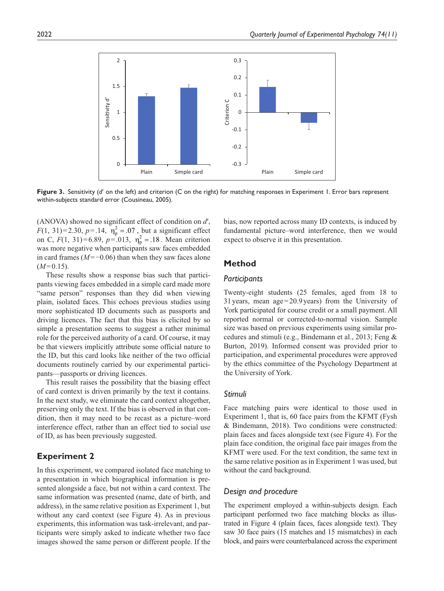

**Figure 3.** Sensitivity (*d*′ on the left) and criterion (C on the right) for matching responses in Experiment 1. Error bars represent within-subjects standard error (Cousineau, 2005).

(ANOVA) showed no significant effect of condition on *d*′,  $F(1, 31) = 2.30, p = .14, \eta_p^2 = .07$ , but a significant effect on C,  $F(1, 31) = 6.89$ ,  $p = .013$ ,  $\eta_p^2 = .18$ . Mean criterion was more negative when participants saw faces embedded in card frames (*M*=−0.06) than when they saw faces alone  $(M=0.15)$ .

These results show a response bias such that participants viewing faces embedded in a simple card made more "same person" responses than they did when viewing plain, isolated faces. This echoes previous studies using more sophisticated ID documents such as passports and driving licences. The fact that this bias is elicited by so simple a presentation seems to suggest a rather minimal role for the perceived authority of a card. Of course, it may be that viewers implicitly attribute some official nature to the ID, but this card looks like neither of the two official documents routinely carried by our experimental participants—passports or driving licences.

This result raises the possibility that the biasing effect of card context is driven primarily by the text it contains. In the next study, we eliminate the card context altogether, preserving only the text. If the bias is observed in that condition, then it may need to be recast as a picture–word interference effect, rather than an effect tied to social use of ID, as has been previously suggested.

# **Experiment 2**

In this experiment, we compared isolated face matching to a presentation in which biographical information is presented alongside a face, but not within a card context. The same information was presented (name, date of birth, and address), in the same relative position as Experiment 1, but without any card context (see Figure 4). As in previous experiments, this information was task-irrelevant, and participants were simply asked to indicate whether two face images showed the same person or different people. If the

bias, now reported across many ID contexts, is induced by fundamental picture–word interference, then we would expect to observe it in this presentation.

# **Method**

### *Participants*

Twenty-eight students (25 females, aged from 18 to 31years, mean age=20.9years) from the University of York participated for course credit or a small payment. All reported normal or corrected-to-normal vision. Sample size was based on previous experiments using similar procedures and stimuli (e.g., Bindemann et al., 2013; Feng & Burton, 2019). Informed consent was provided prior to participation, and experimental procedures were approved by the ethics committee of the Psychology Department at the University of York.

### *Stimuli*

Face matching pairs were identical to those used in Experiment 1, that is, 60 face pairs from the KFMT (Fysh & Bindemann, 2018). Two conditions were constructed: plain faces and faces alongside text (see Figure 4). For the plain face condition, the original face pair images from the KFMT were used. For the text condition, the same text in the same relative position as in Experiment 1 was used, but without the card background.

### *Design and procedure*

The experiment employed a within-subjects design. Each participant performed two face matching blocks as illustrated in Figure 4 (plain faces, faces alongside text). They saw 30 face pairs (15 matches and 15 mismatches) in each block, and pairs were counterbalanced across the experiment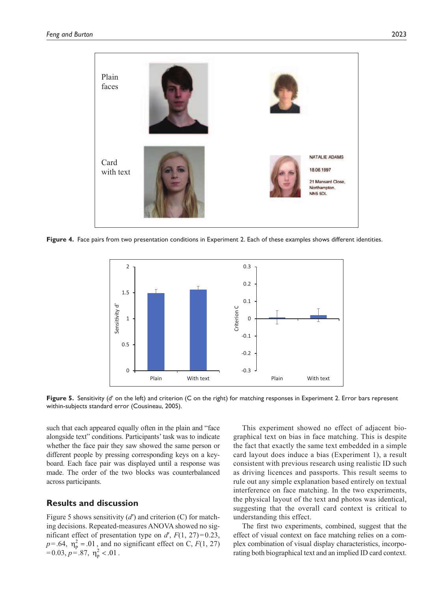

**Figure 4.** Face pairs from two presentation conditions in Experiment 2. Each of these examples shows different identities.



**Figure 5.** Sensitivity (*d*′ on the left) and criterion (C on the right) for matching responses in Experiment 2. Error bars represent within-subjects standard error (Cousineau, 2005).

such that each appeared equally often in the plain and "face alongside text" conditions. Participants' task was to indicate whether the face pair they saw showed the same person or different people by pressing corresponding keys on a keyboard. Each face pair was displayed until a response was made. The order of the two blocks was counterbalanced across participants.

# **Results and discussion**

Figure 5 shows sensitivity (*d*′) and criterion (C) for matching decisions. Repeated-measures ANOVA showed no significant effect of presentation type on  $d'$ ,  $F(1, 27)=0.23$ ,  $p = .64$ ,  $\eta_p^2 = .01$ , and no significant effect on C,  $F(1, 27)$  $=0.03, p = .87, \eta_p^2 < .01$ .

This experiment showed no effect of adjacent biographical text on bias in face matching. This is despite the fact that exactly the same text embedded in a simple card layout does induce a bias (Experiment 1), a result consistent with previous research using realistic ID such as driving licences and passports. This result seems to rule out any simple explanation based entirely on textual interference on face matching. In the two experiments, the physical layout of the text and photos was identical, suggesting that the overall card context is critical to understanding this effect.

The first two experiments, combined, suggest that the effect of visual context on face matching relies on a complex combination of visual display characteristics, incorporating both biographical text and an implied ID card context.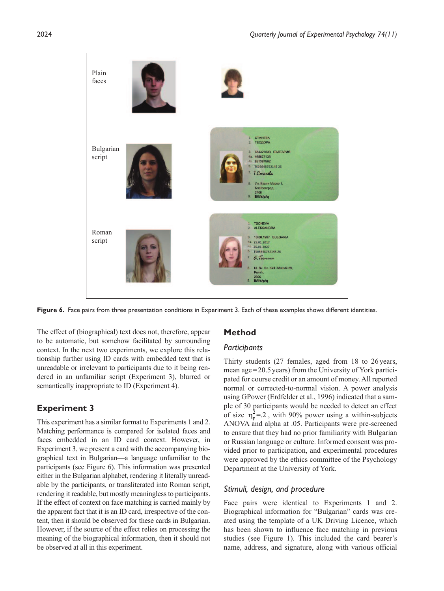

**Figure 6.** Face pairs from three presentation conditions in Experiment 3. Each of these examples shows different identities.

The effect of (biographical) text does not, therefore, appear to be automatic, but somehow facilitated by surrounding context. In the next two experiments, we explore this relationship further using ID cards with embedded text that is unreadable or irrelevant to participants due to it being rendered in an unfamiliar script (Experiment 3), blurred or semantically inappropriate to ID (Experiment 4).

# **Experiment 3**

This experiment has a similar format to Experiments 1 and 2. Matching performance is compared for isolated faces and faces embedded in an ID card context. However, in Experiment 3, we present a card with the accompanying biographical text in Bulgarian—a language unfamiliar to the participants (see Figure 6). This information was presented either in the Bulgarian alphabet, rendering it literally unreadable by the participants, or transliterated into Roman script, rendering it readable, but mostly meaningless to participants. If the effect of context on face matching is carried mainly by the apparent fact that it is an ID card, irrespective of the content, then it should be observed for these cards in Bulgarian. However, if the source of the effect relies on processing the meaning of the biographical information, then it should not be observed at all in this experiment.

### **Method**

### *Participants*

Thirty students (27 females, aged from 18 to 26 years, mean age=20.5years) from the University of York participated for course credit or an amount of money. All reported normal or corrected-to-normal vision. A power analysis using GPower (Erdfelder et al., 1996) indicated that a sample of 30 participants would be needed to detect an effect of size  $\eta_p^2 = 2$ , with 90% power using a within-subjects ANOVA and alpha at .05. Participants were pre-screened to ensure that they had no prior familiarity with Bulgarian or Russian language or culture. Informed consent was provided prior to participation, and experimental procedures were approved by the ethics committee of the Psychology Department at the University of York.

### *Stimuli, design, and procedure*

Face pairs were identical to Experiments 1 and 2. Biographical information for "Bulgarian" cards was created using the template of a UK Driving Licence, which has been shown to influence face matching in previous studies (see Figure 1). This included the card bearer's name, address, and signature, along with various official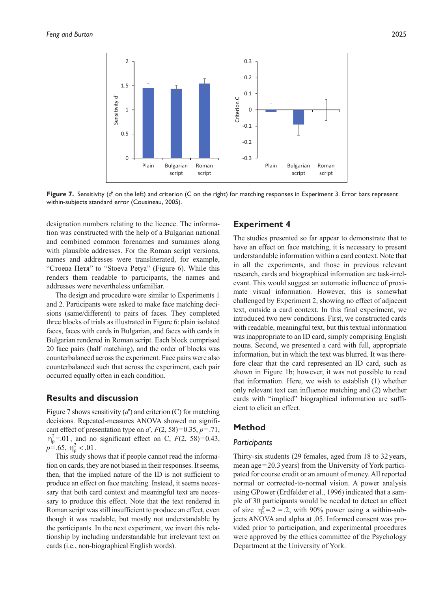

**Figure 7.** Sensitivity (*d*′ on the left) and criterion (C on the right) for matching responses in Experiment 3. Error bars represent within-subjects standard error (Cousineau, 2005).

designation numbers relating to the licence. The information was constructed with the help of a Bulgarian national and combined common forenames and surnames along with plausible addresses. For the Roman script versions, names and addresses were transliterated, for example, "Стоева Петя" to "Stoeva Petya" (Figure 6). While this renders them readable to participants, the names and addresses were nevertheless unfamiliar.

The design and procedure were similar to Experiments 1 and 2. Participants were asked to make face matching decisions (same/different) to pairs of faces. They completed three blocks of trials as illustrated in Figure 6: plain isolated faces, faces with cards in Bulgarian, and faces with cards in Bulgarian rendered in Roman script. Each block comprised 20 face pairs (half matching), and the order of blocks was counterbalanced across the experiment. Face pairs were also counterbalanced such that across the experiment, each pair occurred equally often in each condition.

### **Results and discussion**

Figure 7 shows sensitivity (*d*′) and criterion (C) for matching decisions. Repeated-measures ANOVA showed no significant effect of presentation type on  $d'$ ,  $F(2, 58)=0.35$ ,  $p=.71$ ,  $\eta_p^2$ =.01, and no significant effect on C, *F*(2, 58)=0.43,  $p = .65, \eta_p^2 < .01$ .

This study shows that if people cannot read the information on cards, they are not biased in their responses. It seems, then, that the implied nature of the ID is not sufficient to produce an effect on face matching. Instead, it seems necessary that both card context and meaningful text are necessary to produce this effect. Note that the text rendered in Roman script was still insufficient to produce an effect, even though it was readable, but mostly not understandable by the participants. In the next experiment, we invert this relationship by including understandable but irrelevant text on cards (i.e., non-biographical English words).

### **Experiment 4**

The studies presented so far appear to demonstrate that to have an effect on face matching, it is necessary to present understandable information within a card context. Note that in all the experiments, and those in previous relevant research, cards and biographical information are task-irrelevant. This would suggest an automatic influence of proximate visual information. However, this is somewhat challenged by Experiment 2, showing no effect of adjacent text, outside a card context. In this final experiment, we introduced two new conditions. First, we constructed cards with readable, meaningful text, but this textual information was inappropriate to an ID card, simply comprising English nouns. Second, we presented a card with full, appropriate information, but in which the text was blurred. It was therefore clear that the card represented an ID card, such as shown in Figure 1b; however, it was not possible to read that information. Here, we wish to establish (1) whether only relevant text can influence matching and (2) whether cards with "implied" biographical information are sufficient to elicit an effect.

### **Method**

#### *Participants*

Thirty-six students (29 females, aged from 18 to 32years, mean age=20.3years) from the University of York participated for course credit or an amount of money. All reported normal or corrected-to-normal vision. A power analysis using GPower (Erdfelder et al., 1996) indicated that a sample of 30 participants would be needed to detect an effect of size  $\eta_2^p = 0.2 = 0.2$ , with 90% power using a within-subjects ANOVA and alpha at .05. Informed consent was provided prior to participation, and experimental procedures were approved by the ethics committee of the Psychology Department at the University of York.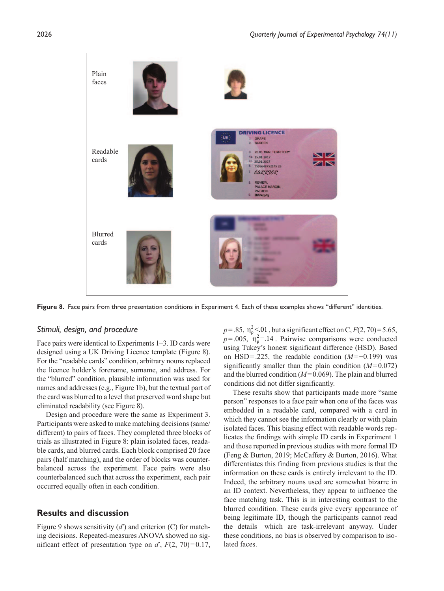

**Figure 8.** Face pairs from three presentation conditions in Experiment 4. Each of these examples shows "different" identities.

#### *Stimuli, design, and procedure*

Face pairs were identical to Experiments 1–3. ID cards were designed using a UK Driving Licence template (Figure 8). For the "readable cards" condition, arbitrary nouns replaced the licence holder's forename, surname, and address. For the "blurred" condition, plausible information was used for names and addresses (e.g., Figure 1b), but the textual part of the card was blurred to a level that preserved word shape but eliminated readability (see Figure 8).

Design and procedure were the same as Experiment 3. Participants were asked to make matching decisions (same/ different) to pairs of faces. They completed three blocks of trials as illustrated in Figure 8: plain isolated faces, readable cards, and blurred cards. Each block comprised 20 face pairs (half matching), and the order of blocks was counterbalanced across the experiment. Face pairs were also counterbalanced such that across the experiment, each pair occurred equally often in each condition.

### **Results and discussion**

Figure 9 shows sensitivity (*d*′) and criterion (C) for matching decisions. Repeated-measures ANOVA showed no significant effect of presentation type on  $d'$ ,  $F(2, 70)=0.17$ ,

 $p = 0.85$ ,  $\eta_p^2 < 0.01$ , but a significant effect on C,  $F(2, 70) = 5.65$ ,  $p = .005$ ,  $n_p^2 = .14$ . Pairwise comparisons were conducted using Tukey's honest significant difference (HSD). Based on HSD=.225, the readable condition (*M*=−0.199) was significantly smaller than the plain condition (*M*=0.072) and the blurred condition (*M*=0.069). The plain and blurred conditions did not differ significantly.

These results show that participants made more "same person" responses to a face pair when one of the faces was embedded in a readable card, compared with a card in which they cannot see the information clearly or with plain isolated faces. This biasing effect with readable words replicates the findings with simple ID cards in Experiment 1 and those reported in previous studies with more formal ID (Feng & Burton, 2019; McCaffery & Burton, 2016). What differentiates this finding from previous studies is that the information on these cards is entirely irrelevant to the ID. Indeed, the arbitrary nouns used are somewhat bizarre in an ID context. Nevertheless, they appear to influence the face matching task. This is in interesting contrast to the blurred condition. These cards give every appearance of being legitimate ID, though the participants cannot read the details—which are task-irrelevant anyway. Under these conditions, no bias is observed by comparison to isolated faces.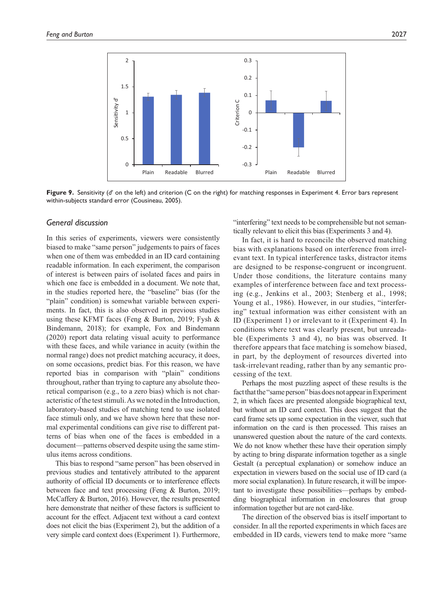

**Figure 9.** Sensitivity (*d*′ on the left) and criterion (C on the right) for matching responses in Experiment 4. Error bars represent within-subjects standard error (Cousineau, 2005).

### *General discussion*

In this series of experiments, viewers were consistently biased to make "same person" judgements to pairs of faces when one of them was embedded in an ID card containing readable information. In each experiment, the comparison of interest is between pairs of isolated faces and pairs in which one face is embedded in a document. We note that, in the studies reported here, the "baseline" bias (for the "plain" condition) is somewhat variable between experiments. In fact, this is also observed in previous studies using these KFMT faces (Feng & Burton, 2019; Fysh & Bindemann, 2018); for example, Fox and Bindemann (2020) report data relating visual acuity to performance with these faces, and while variance in acuity (within the normal range) does not predict matching accuracy, it does, on some occasions, predict bias. For this reason, we have reported bias in comparison with "plain" conditions throughout, rather than trying to capture any absolute theoretical comparison (e.g., to a zero bias) which is not characteristic of the test stimuli. As we noted in the Introduction, laboratory-based studies of matching tend to use isolated face stimuli only, and we have shown here that these normal experimental conditions can give rise to different patterns of bias when one of the faces is embedded in a document—patterns observed despite using the same stimulus items across conditions.

This bias to respond "same person" has been observed in previous studies and tentatively attributed to the apparent authority of official ID documents or to interference effects between face and text processing (Feng & Burton, 2019; McCaffery & Burton, 2016). However, the results presented here demonstrate that neither of these factors is sufficient to account for the effect. Adjacent text without a card context does not elicit the bias (Experiment 2), but the addition of a very simple card context does (Experiment 1). Furthermore,

"interfering" text needs to be comprehensible but not semantically relevant to elicit this bias (Experiments 3 and 4).

In fact, it is hard to reconcile the observed matching bias with explanations based on interference from irrelevant text. In typical interference tasks, distractor items are designed to be response-congruent or incongruent. Under those conditions, the literature contains many examples of interference between face and text processing (e.g., Jenkins et al., 2003; Stenberg et al., 1998; Young et al., 1986). However, in our studies, "interfering" textual information was either consistent with an ID (Experiment 1) or irrelevant to it (Experiment 4). In conditions where text was clearly present, but unreadable (Experiments 3 and 4), no bias was observed. It therefore appears that face matching is somehow biased, in part, by the deployment of resources diverted into task-irrelevant reading, rather than by any semantic processing of the text.

Perhaps the most puzzling aspect of these results is the fact that the "same person" bias does not appear in Experiment 2, in which faces are presented alongside biographical text, but without an ID card context. This does suggest that the card frame sets up some expectation in the viewer, such that information on the card is then processed. This raises an unanswered question about the nature of the card contexts. We do not know whether these have their operation simply by acting to bring disparate information together as a single Gestalt (a perceptual explanation) or somehow induce an expectation in viewers based on the social use of ID card (a more social explanation). In future research, it will be important to investigate these possibilities—perhaps by embedding biographical information in enclosures that group information together but are not card-like.

The direction of the observed bias is itself important to consider. In all the reported experiments in which faces are embedded in ID cards, viewers tend to make more "same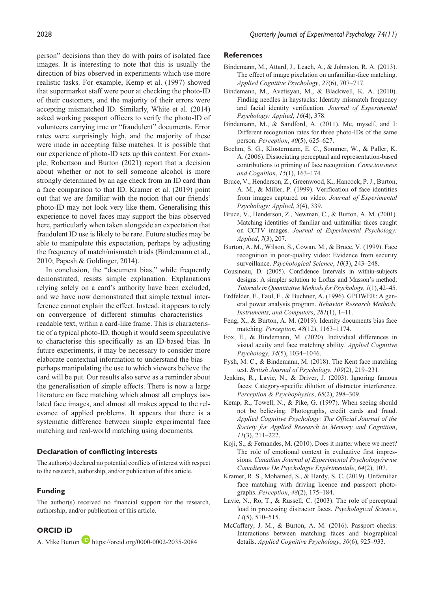person" decisions than they do with pairs of isolated face images. It is interesting to note that this is usually the direction of bias observed in experiments which use more realistic tasks. For example, Kemp et al. (1997) showed that supermarket staff were poor at checking the photo-ID of their customers, and the majority of their errors were accepting mismatched ID. Similarly, White et al. (2014) asked working passport officers to verify the photo-ID of volunteers carrying true or "fraudulent" documents. Error rates were surprisingly high, and the majority of these were made in accepting false matches. It is possible that our experience of photo-ID sets up this context. For example, Robertson and Burton (2021) report that a decision about whether or not to sell someone alcohol is more strongly determined by an age check from an ID card than a face comparison to that ID. Kramer et al. (2019) point out that we are familiar with the notion that our friends' photo-ID may not look very like them. Generalising this experience to novel faces may support the bias observed here, particularly when taken alongside an expectation that fraudulent ID use is likely to be rare. Future studies may be able to manipulate this expectation, perhaps by adjusting the frequency of match/mismatch trials (Bindemann et al., 2010; Papesh & Goldinger, 2014).

In conclusion, the "document bias," while frequently demonstrated, resists simple explanation. Explanations relying solely on a card's authority have been excluded, and we have now demonstrated that simple textual interference cannot explain the effect. Instead, it appears to rely on convergence of different stimulus characteristics readable text, within a card-like frame. This is characteristic of a typical photo-ID, though it would seem speculative to characterise this specifically as an ID-based bias. In future experiments, it may be necessary to consider more elaborate contextual information to understand the bias perhaps manipulating the use to which viewers believe the card will be put. Our results also serve as a reminder about the generalisation of simple effects. There is now a large literature on face matching which almost all employs isolated face images, and almost all makes appeal to the relevance of applied problems. It appears that there is a systematic difference between simple experimental face matching and real-world matching using documents.

#### **Declaration of conflicting interests**

The author(s) declared no potential conflicts of interest with respect to the research, authorship, and/or publication of this article.

#### **Funding**

The author(s) received no financial support for the research, authorship, and/or publication of this article.

#### **ORCID iD**

A. Mike Burton **<https://orcid.org/0000-0002-2035-2084>** 

#### **References**

- Bindemann, M., Attard, J., Leach, A., & Johnston, R. A. (2013). The effect of image pixelation on unfamiliar-face matching. *Applied Cognitive Psychology*, *27*(6), 707–717.
- Bindemann, M., Avetisyan, M., & Blackwell, K. A. (2010). Finding needles in haystacks: Identity mismatch frequency and facial identity verification. *Journal of Experimental Psychology: Applied*, *16*(4), 378.
- Bindemann, M., & Sandford, A. (2011). Me, myself, and I: Different recognition rates for three photo-IDs of the same person. *Perception*, *40*(5), 625–627.
- Boehm, S. G., Klostermann, E. C., Sommer, W., & Paller, K. A. (2006). Dissociating perceptual and representation-based contributions to priming of face recognition. *Consciousness and Cognition*, *15*(1), 163–174.
- Bruce, V., Henderson, Z., Greenwood, K., Hancock, P. J., Burton, A. M., & Miller, P. (1999). Verification of face identities from images captured on video. *Journal of Experimental Psychology: Applied*, *5*(4), 339.
- Bruce, V., Henderson, Z., Newman, C., & Burton, A. M. (2001). Matching identities of familiar and unfamiliar faces caught on CCTV images. *Journal of Experimental Psychology: Applied*, *7*(3), 207.
- Burton, A. M., Wilson, S., Cowan, M., & Bruce, V. (1999). Face recognition in poor-quality video: Evidence from security surveillance. *Psychological Science*, *10*(3), 243–248.
- Cousineau, D. (2005). Confidence Intervals in within-subjects designs: A simpler solution to Loftus and Masson's method. *Tutorials in Quantitative Methods for Psychology*, *1*(1), 42–45.
- Erdfelder, E., Faul, F., & Buchner, A. (1996). GPOWER: A general power analysis program. *Behavior Research Methods, Instruments, and Computers*, *281*(1), 1–11.
- Feng, X., & Burton, A. M. (2019). Identity documents bias face matching. *Perception*, *48*(12), 1163–1174.
- Fox, E., & Bindemann, M. (2020). Individual differences in visual acuity and face matching ability. *Applied Cognitive Psychology*, *34*(5), 1034–1046.
- Fysh, M. C., & Bindemann, M. (2018). The Kent face matching test. *British Journal of Psychology*, *109*(2), 219–231.
- Jenkins, R., Lavie, N., & Driver, J. (2003). Ignoring famous faces: Category-specific dilution of distractor interference. *Perception & Psychophysics*, *65*(2), 298–309.
- Kemp, R., Towell, N., & Pike, G. (1997). When seeing should not be believing: Photographs, credit cards and fraud. *Applied Cognitive Psychology: The Official Journal of the Society for Applied Research in Memory and Cognition*, *11*(3), 211–222.
- Koji, S., & Fernandes, M. (2010). Does it matter where we meet? The role of emotional context in evaluative first impressions. *Canadian Journal of Experimental Psychology/revue Canadienne De Psychologie Expérimentale*, *64*(2), 107.
- Kramer, R. S., Mohamed, S., & Hardy, S. C. (2019). Unfamiliar face matching with driving licence and passport photographs. *Perception*, *48*(2), 175–184.
- Lavie, N., Ro, T., & Russell, C. (2003). The role of perceptual load in processing distractor faces. *Psychological Science*, *14*(5), 510–515.
- McCaffery, J. M., & Burton, A. M. (2016). Passport checks: Interactions between matching faces and biographical details. *Applied Cognitive Psychology*, *30*(6), 925–933.